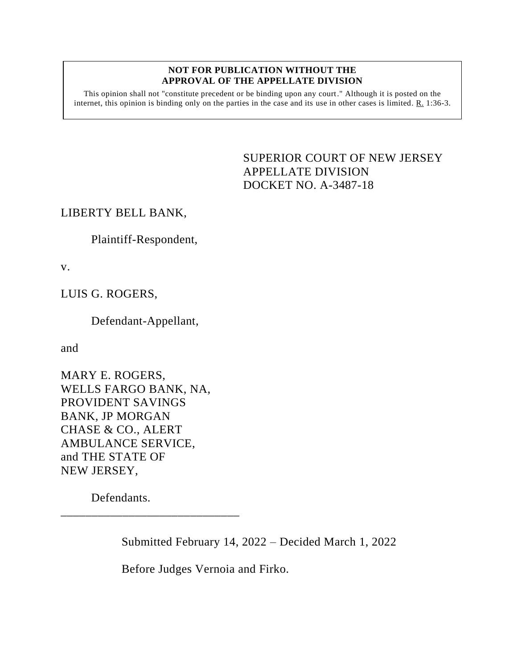#### **NOT FOR PUBLICATION WITHOUT THE APPROVAL OF THE APPELLATE DIVISION**

This opinion shall not "constitute precedent or be binding upon any court." Although it is posted on the internet, this opinion is binding only on the parties in the case and its use in other cases is limited. R. 1:36-3.

# <span id="page-0-0"></span>SUPERIOR COURT OF NEW JERSEY APPELLATE DIVISION DOCKET NO. A-3487-18

## LIBERTY BELL BANK,

Plaintiff-Respondent,

v.

LUIS G. ROGERS,

Defendant-Appellant,

and

MARY E. ROGERS, WELLS FARGO BANK, NA, PROVIDENT SAVINGS BANK, JP MORGAN CHASE & CO., ALERT AMBULANCE SERVICE, and THE STATE OF NEW JERSEY,

\_\_\_\_\_\_\_\_\_\_\_\_\_\_\_\_\_\_\_\_\_\_\_\_\_\_\_\_\_

Defendants.

Submitted February 14, 2022 – Decided March 1, 2022

Before Judges Vernoia and Firko.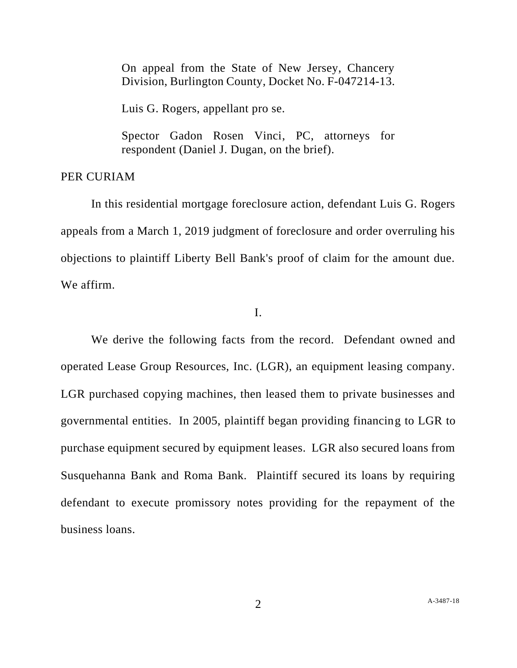On appeal from the State of New Jersey, Chancery Division, Burlington County, Docket No. F-047214-13.

Luis G. Rogers, appellant pro se.

Spector Gadon Rosen Vinci, PC, attorneys for respondent (Daniel J. Dugan, on the brief).

### PER CURIAM

In this residential mortgage foreclosure action, defendant Luis G. Rogers appeals from a March 1, 2019 judgment of foreclosure and order overruling his objections to plaintiff Liberty Bell Bank's proof of claim for the amount due. We affirm.

## I.

We derive the following facts from the record. Defendant owned and operated Lease Group Resources, Inc. (LGR), an equipment leasing company. LGR purchased copying machines, then leased them to private businesses and governmental entities. In 2005, plaintiff began providing financing to LGR to purchase equipment secured by equipment leases. LGR also secured loans from Susquehanna Bank and Roma Bank. Plaintiff secured its loans by requiring defendant to execute promissory notes providing for the repayment of the business loans.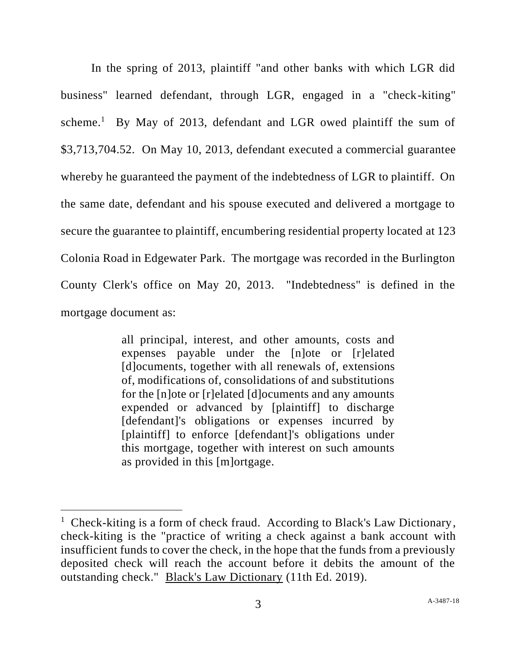In the spring of 2013, plaintiff "and other banks with which LGR did business" learned defendant, through LGR, engaged in a "check-kiting" scheme.<sup>1</sup> By May of 2013, defendant and LGR owed plaintiff the sum of \$3,713,704.52. On May 10, 2013, defendant executed a commercial guarantee whereby he guaranteed the payment of the indebtedness of LGR to plaintiff. On the same date, defendant and his spouse executed and delivered a mortgage to secure the guarantee to plaintiff, encumbering residential property located at 123 Colonia Road in Edgewater Park. The mortgage was recorded in the Burlington County Clerk's office on May 20, 2013. "Indebtedness" is defined in the mortgage document as:

> all principal, interest, and other amounts, costs and expenses payable under the [n]ote or [r]elated [d]ocuments, together with all renewals of, extensions of, modifications of, consolidations of and substitutions for the [n]ote or [r]elated [d]ocuments and any amounts expended or advanced by [plaintiff] to discharge [defendant]'s obligations or expenses incurred by [plaintiff] to enforce [defendant]'s obligations under this mortgage, together with interest on such amounts as provided in this [m]ortgage.

<sup>&</sup>lt;sup>1</sup> Check-kiting is a form of check fraud. According to Black's Law Dictionary, check-kiting is the "practice of writing a check against a bank account with insufficient funds to cover the check, in the hope that the funds from a previously deposited check will reach the account before it debits the amount of the outstanding check." Black's Law Dictionary (11th Ed. 2019).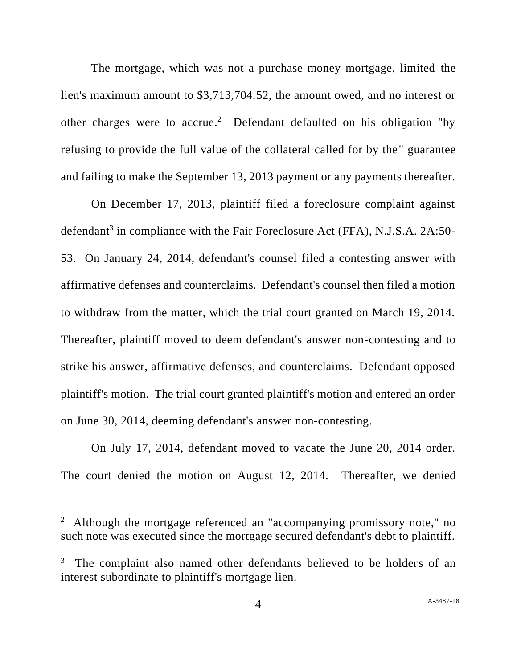The mortgage, which was not a purchase money mortgage, limited the lien's maximum amount to \$3,713,704.52, the amount owed, and no interest or other charges were to accrue.<sup>2</sup> Defendant defaulted on his obligation "by refusing to provide the full value of the collateral called for by the" guarantee and failing to make the September 13, 2013 payment or any payments thereafter.

On December 17, 2013, plaintiff filed a foreclosure complaint against defendant<sup>3</sup> in compliance with the Fair Foreclosure Act (FFA), N.J.S.A. 2A:50-53. On January 24, 2014, defendant's counsel filed a contesting answer with affirmative defenses and counterclaims. Defendant's counsel then filed a motion to withdraw from the matter, which the trial court granted on March 19, 2014. Thereafter, plaintiff moved to deem defendant's answer non-contesting and to strike his answer, affirmative defenses, and counterclaims. Defendant opposed plaintiff's motion. The trial court granted plaintiff's motion and entered an order on June 30, 2014, deeming defendant's answer non-contesting.

On July 17, 2014, defendant moved to vacate the June 20, 2014 order. The court denied the motion on August 12, 2014. Thereafter, we denied

<sup>&</sup>lt;sup>2</sup> Although the mortgage referenced an "accompanying promissory note," no such note was executed since the mortgage secured defendant's debt to plaintiff.

<sup>3</sup> The complaint also named other defendants believed to be holders of an interest subordinate to plaintiff's mortgage lien.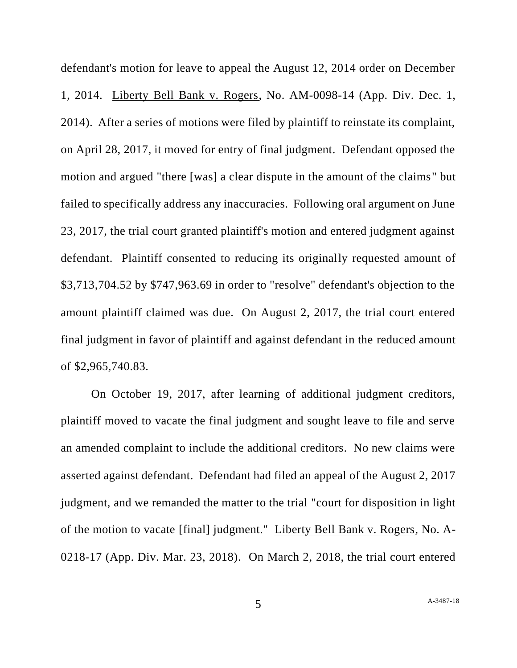defendant's motion for leave to appeal the August 12, 2014 order on December 1, 2014. Liberty Bell Bank v. Rogers, No. AM-0098-14 (App. Div. Dec. 1, 2014). After a series of motions were filed by plaintiff to reinstate its complaint, on April 28, 2017, it moved for entry of final judgment. Defendant opposed the motion and argued "there [was] a clear dispute in the amount of the claims" but failed to specifically address any inaccuracies. Following oral argument on June 23, 2017, the trial court granted plaintiff's motion and entered judgment against defendant. Plaintiff consented to reducing its originally requested amount of \$3,713,704.52 by \$747,963.69 in order to "resolve" defendant's objection to the amount plaintiff claimed was due. On August 2, 2017, the trial court entered final judgment in favor of plaintiff and against defendant in the reduced amount of \$2,965,740.83.

On October 19, 2017, after learning of additional judgment creditors, plaintiff moved to vacate the final judgment and sought leave to file and serve an amended complaint to include the additional creditors. No new claims were asserted against defendant. Defendant had filed an appeal of the August 2, 2017 judgment, and we remanded the matter to the trial "court for disposition in light of the motion to vacate [final] judgment." Liberty Bell Bank v. Rogers, No. A-0218-17 (App. Div. Mar. 23, 2018). On March 2, 2018, the trial court entered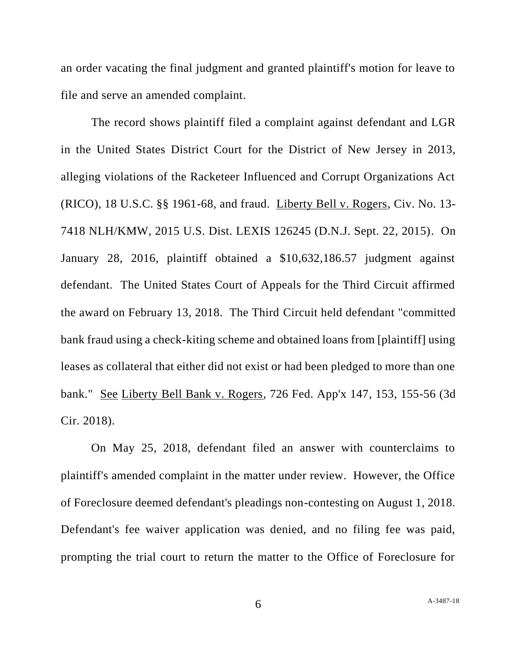an order vacating the final judgment and granted plaintiff's motion for leave to file and serve an amended complaint.

The record shows plaintiff filed a complaint against defendant and LGR in the United States District Court for the District of New Jersey in 2013, alleging violations of the Racketeer Influenced and Corrupt Organizations Act (RICO), 18 U.S.C. §§ 1961-68, and fraud. Liberty Bell v. Rogers, Civ. No. 13- 7418 NLH/KMW, 2015 U.S. Dist. LEXIS 126245 (D.N.J. Sept. 22, 2015). On January 28, 2016, plaintiff obtained a \$10,632,186.57 judgment against defendant. The United States Court of Appeals for the Third Circuit affirmed the award on February 13, 2018. The Third Circuit held defendant "committed bank fraud using a check-kiting scheme and obtained loans from [plaintiff] using leases as collateral that either did not exist or had been pledged to more than one bank." See Liberty Bell Bank v. Rogers, 726 Fed. App'x 147, 153, 155-56 (3d Cir. 2018).

On May 25, 2018, defendant filed an answer with counterclaims to plaintiff's amended complaint in the matter under review. However, the Office of Foreclosure deemed defendant's pleadings non-contesting on August 1, 2018. Defendant's fee waiver application was denied, and no filing fee was paid, prompting the trial court to return the matter to the Office of Foreclosure for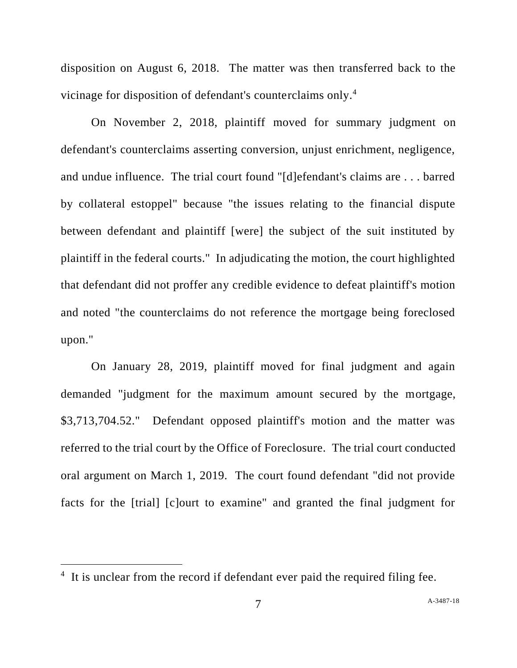disposition on August 6, 2018. The matter was then transferred back to the vicinage for disposition of defendant's counterclaims only.<sup>4</sup>

On November 2, 2018, plaintiff moved for summary judgment on defendant's counterclaims asserting conversion, unjust enrichment, negligence, and undue influence. The trial court found "[d]efendant's claims are . . . barred by collateral estoppel" because "the issues relating to the financial dispute between defendant and plaintiff [were] the subject of the suit instituted by plaintiff in the federal courts." In adjudicating the motion, the court highlighted that defendant did not proffer any credible evidence to defeat plaintiff's motion and noted "the counterclaims do not reference the mortgage being foreclosed upon."

On January 28, 2019, plaintiff moved for final judgment and again demanded "judgment for the maximum amount secured by the mortgage, \$3,713,704.52." Defendant opposed plaintiff's motion and the matter was referred to the trial court by the Office of Foreclosure. The trial court conducted oral argument on March 1, 2019. The court found defendant "did not provide facts for the [trial] [c]ourt to examine" and granted the final judgment for

<sup>&</sup>lt;sup>4</sup> It is unclear from the record if defendant ever paid the required filing fee.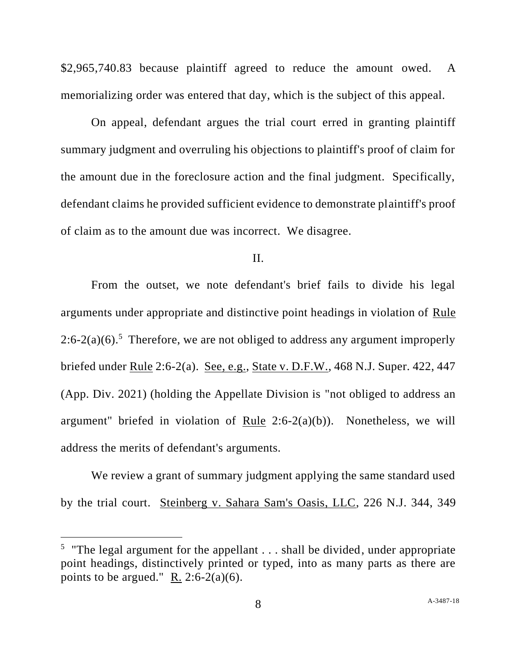\$2,965,740.83 because plaintiff agreed to reduce the amount owed. A memorializing order was entered that day, which is the subject of this appeal.

On appeal, defendant argues the trial court erred in granting plaintiff summary judgment and overruling his objections to plaintiff's proof of claim for the amount due in the foreclosure action and the final judgment. Specifically, defendant claims he provided sufficient evidence to demonstrate plaintiff's proof of claim as to the amount due was incorrect. We disagree.

### II.

From the outset, we note defendant's brief fails to divide his legal arguments under appropriate and distinctive point headings in violation of Rule  $2:6-2(a)(6)$ .<sup>5</sup> Therefore, we are not obliged to address any argument improperly briefed under Rule 2:6-2(a). See, e.g., State v. D.F.W., 468 N.J. Super. 422, 447 (App. Div. 2021) (holding the Appellate Division is "not obliged to address an argument" briefed in violation of <u>Rule</u> 2:6-2(a)(b)). Nonetheless, we will address the merits of defendant's arguments.

We review a grant of summary judgment applying the same standard used by the trial court. Steinberg v. Sahara Sam's Oasis, LLC, 226 N.J. 344, 349

<sup>&</sup>lt;sup>5</sup> "The legal argument for the appellant  $\dots$  shall be divided, under appropriate point headings, distinctively printed or typed, into as many parts as there are points to be argued." R. 2:6-2(a)(6).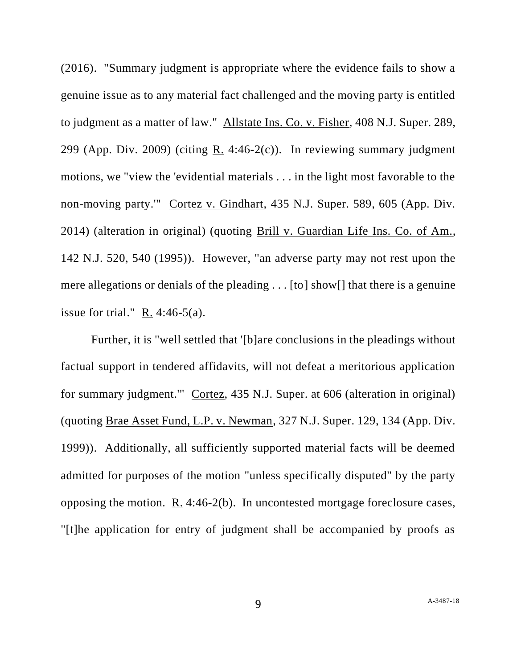(2016). "Summary judgment is appropriate where the evidence fails to show a genuine issue as to any material fact challenged and the moving party is entitled to judgment as a matter of law." Allstate Ins. Co. v. Fisher, 408 N.J. Super. 289, 299 (App. Div. 2009) (citing R. 4:46-2 $(c)$ ). In reviewing summary judgment motions, we "view the 'evidential materials . . . in the light most favorable to the non-moving party.'" Cortez v. Gindhart, 435 N.J. Super. 589, 605 (App. Div. 2014) (alteration in original) (quoting Brill v. Guardian Life Ins. Co. of Am., 142 N.J. 520, 540 (1995)). However, "an adverse party may not rest upon the mere allegations or denials of the pleading . . . [to] show[] that there is a genuine issue for trial."  $R. 4:46-5(a)$ .

Further, it is "well settled that '[b]are conclusions in the pleadings without factual support in tendered affidavits, will not defeat a meritorious application for summary judgment.'" Cortez, 435 N.J. Super. at 606 (alteration in original) (quoting Brae Asset Fund, L.P. v. Newman, 327 N.J. Super. 129, 134 (App. Div. 1999)). Additionally, all sufficiently supported material facts will be deemed admitted for purposes of the motion "unless specifically disputed" by the party opposing the motion. R. 4:46-2(b). In uncontested mortgage foreclosure cases, "[t]he application for entry of judgment shall be accompanied by proofs as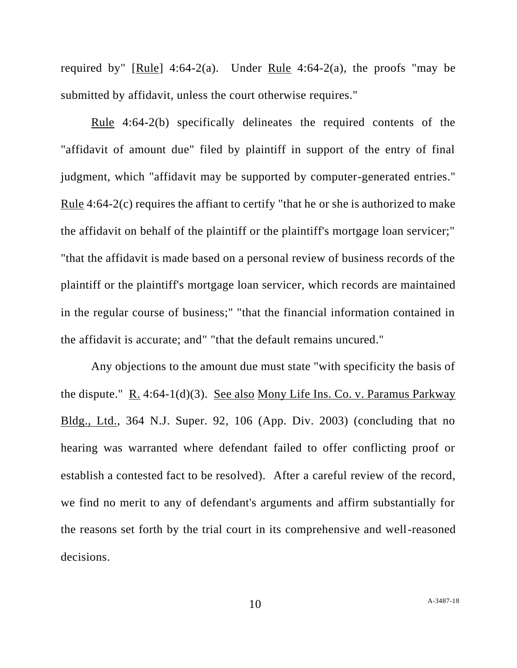required by" [Rule]  $4:64-2(a)$ . Under Rule  $4:64-2(a)$ , the proofs "may be submitted by affidavit, unless the court otherwise requires."

Rule 4:64-2(b) specifically delineates the required contents of the "affidavit of amount due" filed by plaintiff in support of the entry of final judgment, which "affidavit may be supported by computer-generated entries." Rule 4:64-2(c) requires the affiant to certify "that he or she is authorized to make the affidavit on behalf of the plaintiff or the plaintiff's mortgage loan servicer;" "that the affidavit is made based on a personal review of business records of the plaintiff or the plaintiff's mortgage loan servicer, which records are maintained in the regular course of business;" "that the financial information contained in the affidavit is accurate; and" "that the default remains uncured."

Any objections to the amount due must state "with specificity the basis of the dispute." R. 4:64-1(d)(3). See also Mony Life Ins. Co. v. Paramus Parkway Bldg., Ltd., 364 N.J. Super. 92, 106 (App. Div. 2003) (concluding that no hearing was warranted where defendant failed to offer conflicting proof or establish a contested fact to be resolved). After a careful review of the record, we find no merit to any of defendant's arguments and affirm substantially for the reasons set forth by the trial court in its comprehensive and well-reasoned decisions.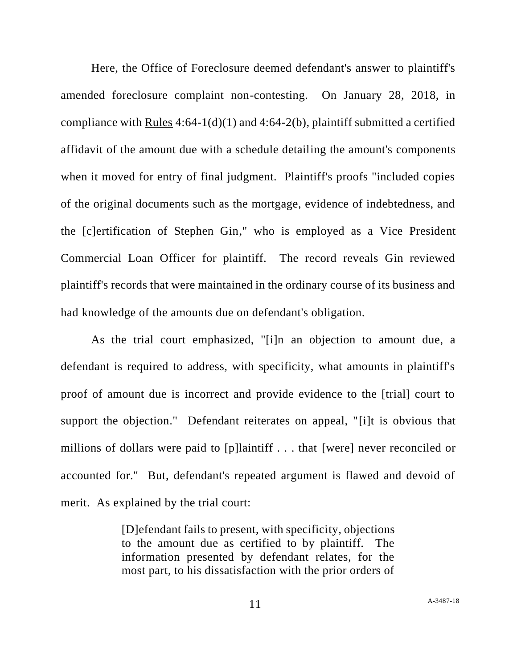Here, the Office of Foreclosure deemed defendant's answer to plaintiff's amended foreclosure complaint non-contesting. On January 28, 2018, in compliance with Rules  $4:64-1(d)(1)$  and  $4:64-2(b)$ , plaintiff submitted a certified affidavit of the amount due with a schedule detailing the amount's components when it moved for entry of final judgment. Plaintiff's proofs "included copies of the original documents such as the mortgage, evidence of indebtedness, and the [c]ertification of Stephen Gin," who is employed as a Vice President Commercial Loan Officer for plaintiff. The record reveals Gin reviewed plaintiff's records that were maintained in the ordinary course of its business and had knowledge of the amounts due on defendant's obligation.

As the trial court emphasized, "[i]n an objection to amount due, a defendant is required to address, with specificity, what amounts in plaintiff's proof of amount due is incorrect and provide evidence to the [trial] court to support the objection." Defendant reiterates on appeal, "[i]t is obvious that millions of dollars were paid to [p]laintiff . . . that [were] never reconciled or accounted for." But, defendant's repeated argument is flawed and devoid of merit. As explained by the trial court:

> [D]efendant fails to present, with specificity, objections to the amount due as certified to by plaintiff. The information presented by defendant relates, for the most part, to his dissatisfaction with the prior orders of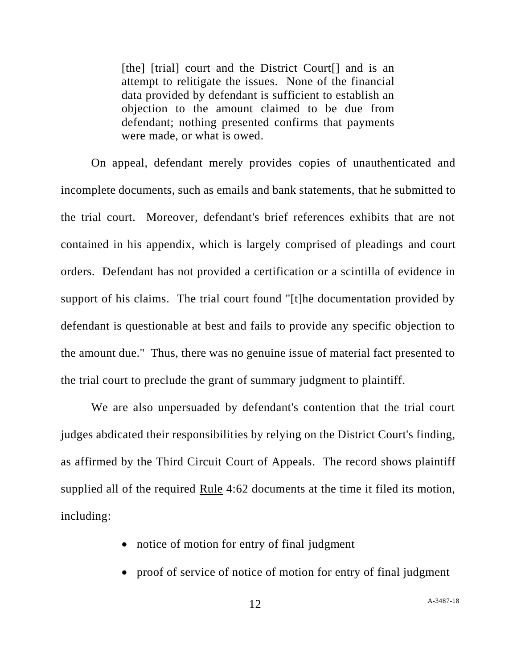[the] [trial] court and the District Court<sup>[]</sup> and is an attempt to relitigate the issues. None of the financial data provided by defendant is sufficient to establish an objection to the amount claimed to be due from defendant; nothing presented confirms that payments were made, or what is owed.

On appeal, defendant merely provides copies of unauthenticated and incomplete documents, such as emails and bank statements, that he submitted to the trial court. Moreover, defendant's brief references exhibits that are not contained in his appendix, which is largely comprised of pleadings and court orders. Defendant has not provided a certification or a scintilla of evidence in support of his claims. The trial court found "[t]he documentation provided by defendant is questionable at best and fails to provide any specific objection to the amount due." Thus, there was no genuine issue of material fact presented to the trial court to preclude the grant of summary judgment to plaintiff.

We are also unpersuaded by defendant's contention that the trial court judges abdicated their responsibilities by relying on the District Court's finding, as affirmed by the Third Circuit Court of Appeals. The record shows plaintiff supplied all of the required Rule 4:62 documents at the time it filed its motion, including:

- notice of motion for entry of final judgment
- proof of service of notice of motion for entry of final judgment